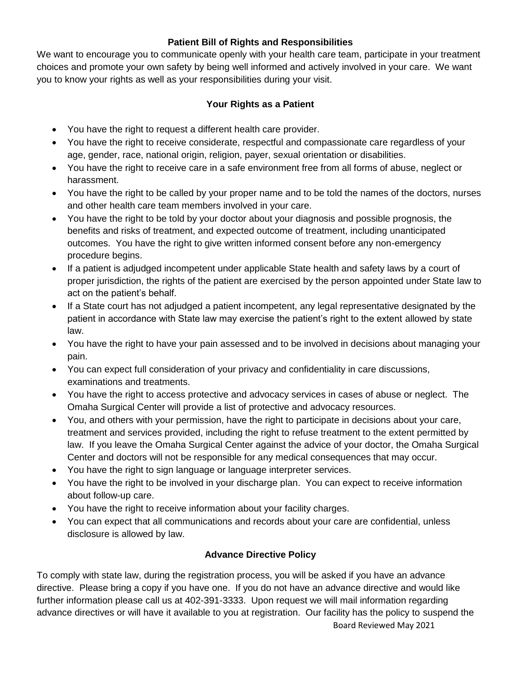#### **Patient Bill of Rights and Responsibilities**

We want to encourage you to communicate openly with your health care team, participate in your treatment choices and promote your own safety by being well informed and actively involved in your care. We want you to know your rights as well as your responsibilities during your visit.

### **Your Rights as a Patient**

- You have the right to request a different health care provider.
- You have the right to receive considerate, respectful and compassionate care regardless of your age, gender, race, national origin, religion, payer, sexual orientation or disabilities.
- You have the right to receive care in a safe environment free from all forms of abuse, neglect or harassment.
- You have the right to be called by your proper name and to be told the names of the doctors, nurses and other health care team members involved in your care.
- You have the right to be told by your doctor about your diagnosis and possible prognosis, the benefits and risks of treatment, and expected outcome of treatment, including unanticipated outcomes. You have the right to give written informed consent before any non-emergency procedure begins.
- If a patient is adjudged incompetent under applicable State health and safety laws by a court of proper jurisdiction, the rights of the patient are exercised by the person appointed under State law to act on the patient's behalf.
- If a State court has not adjudged a patient incompetent, any legal representative designated by the patient in accordance with State law may exercise the patient's right to the extent allowed by state law.
- You have the right to have your pain assessed and to be involved in decisions about managing your pain.
- You can expect full consideration of your privacy and confidentiality in care discussions, examinations and treatments.
- You have the right to access protective and advocacy services in cases of abuse or neglect. The Omaha Surgical Center will provide a list of protective and advocacy resources.
- You, and others with your permission, have the right to participate in decisions about your care, treatment and services provided, including the right to refuse treatment to the extent permitted by law. If you leave the Omaha Surgical Center against the advice of your doctor, the Omaha Surgical Center and doctors will not be responsible for any medical consequences that may occur.
- You have the right to sign language or language interpreter services.
- You have the right to be involved in your discharge plan. You can expect to receive information about follow-up care.
- You have the right to receive information about your facility charges.
- You can expect that all communications and records about your care are confidential, unless disclosure is allowed by law.

## **Advance Directive Policy**

To comply with state law, during the registration process, you will be asked if you have an advance directive. Please bring a copy if you have one. If you do not have an advance directive and would like further information please call us at 402-391-3333. Upon request we will mail information regarding advance directives or will have it available to you at registration. Our facility has the policy to suspend the

Board Reviewed May 2021